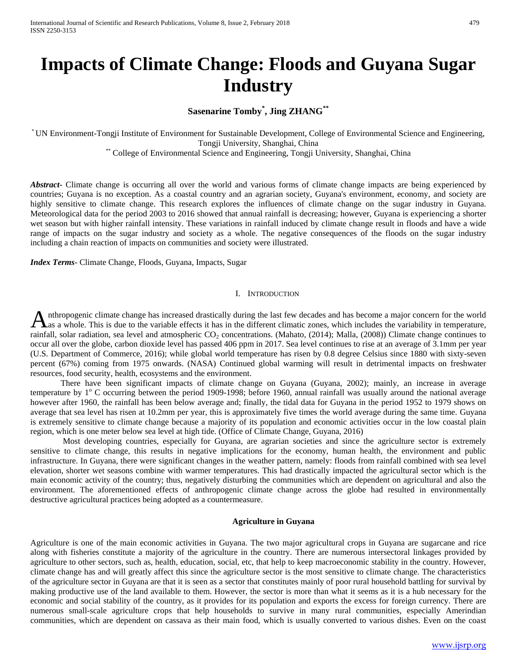# **Impacts of Climate Change: Floods and Guyana Sugar Industry**

**Sasenarine Tomby\* , Jing ZHANG\*\***

\* UN Environment-Tongji Institute of Environment for Sustainable Development, College of Environmental Science and Engineering, Tongji University, Shanghai, China \*\* College of Environmental Science and Engineering, Tongji University, Shanghai, China

*Abstract***-** Climate change is occurring all over the world and various forms of climate change impacts are being experienced by countries; Guyana is no exception. As a coastal country and an agrarian society, Guyana's environment, economy, and society are highly sensitive to climate change. This research explores the influences of climate change on the sugar industry in Guyana. Meteorological data for the period 2003 to 2016 showed that annual rainfall is decreasing; however, Guyana is experiencing a shorter wet season but with higher rainfall intensity. These variations in rainfall induced by climate change result in floods and have a wide range of impacts on the sugar industry and society as a whole. The negative consequences of the floods on the sugar industry including a chain reaction of impacts on communities and society were illustrated.

*Index Terms*- Climate Change, Floods, Guyana, Impacts, Sugar

## I. INTRODUCTION

nthropogenic climate change has increased drastically during the last few decades and has become a major concern for the world Anthropogenic climate change has increased drastically during the last few decades and has become a major concern for the world<br>As a whole. This is due to the variable effects it has in the different climatic zones, which rainfall, solar radiation, sea level and atmospheric  $CO_2$  concentrations. (Mahato, (2014); Malla, (2008)) Climate change continues to occur all over the globe, carbon dioxide level has passed 406 ppm in 2017. Sea level continues to rise at an average of 3.1mm per year (U.S. Department of Commerce, 2016); while global world temperature has risen by 0.8 degree Celsius since 1880 with sixty-seven percent (67%) coming from 1975 onwards. (NASA) Continued global warming will result in detrimental impacts on freshwater resources, food security, health, ecosystems and the environment.

There have been significant impacts of climate change on Guyana (Guyana, 2002); mainly, an increase in average temperature by  $1^{\circ}$  C occurring between the period 1909-1998; before 1960, annual rainfall was usually around the national average however after 1960, the rainfall has been below average and; finally, the tidal data for Guyana in the period 1952 to 1979 shows on average that sea level has risen at 10.2mm per year, this is approximately five times the world average during the same time. Guyana is extremely sensitive to climate change because a majority of its population and economic activities occur in the low coastal plain region, which is one meter below sea level at high tide. (Office of Climate Change, Guyana, 2016)

Most developing countries, especially for Guyana, are agrarian societies and since the agriculture sector is extremely sensitive to climate change, this results in negative implications for the economy, human health, the environment and public infrastructure. In Guyana, there were significant changes in the weather pattern, namely: floods from rainfall combined with sea level elevation, shorter wet seasons combine with warmer temperatures. This had drastically impacted the agricultural sector which is the main economic activity of the country; thus, negatively disturbing the communities which are dependent on agricultural and also the environment. The aforementioned effects of anthropogenic climate change across the globe had resulted in environmentally destructive agricultural practices being adopted as a countermeasure.

# **Agriculture in Guyana**

Agriculture is one of the main economic activities in Guyana. The two major agricultural crops in Guyana are sugarcane and rice along with fisheries constitute a majority of the agriculture in the country. There are numerous intersectoral linkages provided by agriculture to other sectors, such as, health, education, social, etc, that help to keep macroeconomic stability in the country. However, climate change has and will greatly affect this since the agriculture sector is the most sensitive to climate change. The characteristics of the agriculture sector in Guyana are that it is seen as a sector that constitutes mainly of poor rural household battling for survival by making productive use of the land available to them. However, the sector is more than what it seems as it is a hub necessary for the economic and social stability of the country, as it provides for its population and exports the excess for foreign currency. There are numerous small-scale agriculture crops that help households to survive in many rural communities, especially Amerindian communities, which are dependent on cassava as their main food, which is usually converted to various dishes. Even on the coast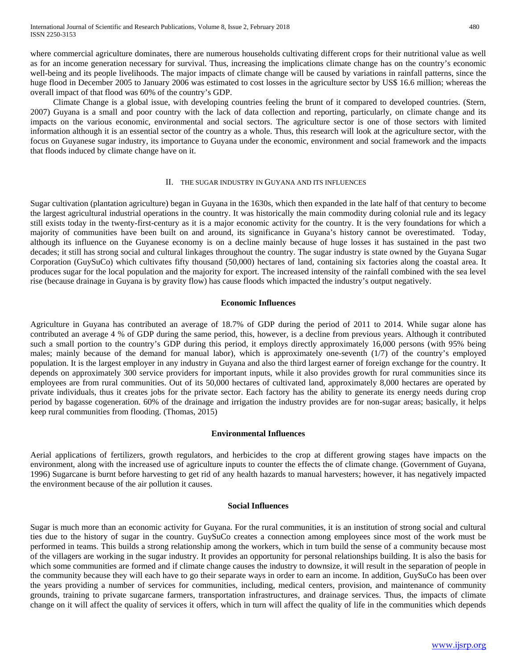where commercial agriculture dominates, there are numerous households cultivating different crops for their nutritional value as well as for an income generation necessary for survival. Thus, increasing the implications climate change has on the country's economic well-being and its people livelihoods. The major impacts of climate change will be caused by variations in rainfall patterns, since the huge flood in December 2005 to January 2006 was estimated to cost losses in the agriculture sector by US\$ 16.6 million; whereas the overall impact of that flood was 60% of the country's GDP.

Climate Change is a global issue, with developing countries feeling the brunt of it compared to developed countries. (Stern, 2007) Guyana is a small and poor country with the lack of data collection and reporting, particularly, on climate change and its impacts on the various economic, environmental and social sectors. The agriculture sector is one of those sectors with limited information although it is an essential sector of the country as a whole. Thus, this research will look at the agriculture sector, with the focus on Guyanese sugar industry, its importance to Guyana under the economic, environment and social framework and the impacts that floods induced by climate change have on it.

### II. THE SUGAR INDUSTRY IN GUYANA AND ITS INFLUENCES

Sugar cultivation (plantation agriculture) began in Guyana in the 1630s, which then expanded in the late half of that century to become the largest agricultural industrial operations in the country. It was historically the main commodity during colonial rule and its legacy still exists today in the twenty-first-century as it is a major economic activity for the country. It is the very foundations for which a majority of communities have been built on and around, its significance in Guyana's history cannot be overestimated. Today, although its influence on the Guyanese economy is on a decline mainly because of huge losses it has sustained in the past two decades; it still has strong social and cultural linkages throughout the country. The sugar industry is state owned by the Guyana Sugar Corporation (GuySuCo) which cultivates fifty thousand (50,000) hectares of land, containing six factories along the coastal area. It produces sugar for the local population and the majority for export. The increased intensity of the rainfall combined with the sea level rise (because drainage in Guyana is by gravity flow) has cause floods which impacted the industry's output negatively.

### **Economic Influences**

Agriculture in Guyana has contributed an average of 18.7% of GDP during the period of 2011 to 2014. While sugar alone has contributed an average 4 % of GDP during the same period, this, however, is a decline from previous years. Although it contributed such a small portion to the country's GDP during this period, it employs directly approximately 16,000 persons (with 95% being males; mainly because of the demand for manual labor), which is approximately one-seventh (1/7) of the country's employed population. It is the largest employer in any industry in Guyana and also the third largest earner of foreign exchange for the country. It depends on approximately 300 service providers for important inputs, while it also provides growth for rural communities since its employees are from rural communities. Out of its 50,000 hectares of cultivated land, approximately 8,000 hectares are operated by private individuals, thus it creates jobs for the private sector. Each factory has the ability to generate its energy needs during crop period by bagasse cogeneration. 60% of the drainage and irrigation the industry provides are for non-sugar areas; basically, it helps keep rural communities from flooding. (Thomas, 2015)

### **Environmental Influences**

Aerial applications of fertilizers, growth regulators, and herbicides to the crop at different growing stages have impacts on the environment, along with the increased use of agriculture inputs to counter the effects the of climate change. (Government of Guyana, 1996) Sugarcane is burnt before harvesting to get rid of any health hazards to manual harvesters; however, it has negatively impacted the environment because of the air pollution it causes.

### **Social Influences**

Sugar is much more than an economic activity for Guyana. For the rural communities, it is an institution of strong social and cultural ties due to the history of sugar in the country. GuySuCo creates a connection among employees since most of the work must be performed in teams. This builds a strong relationship among the workers, which in turn build the sense of a community because most of the villagers are working in the sugar industry. It provides an opportunity for personal relationships building. It is also the basis for which some communities are formed and if climate change causes the industry to downsize, it will result in the separation of people in the community because they will each have to go their separate ways in order to earn an income. In addition, GuySuCo has been over the years providing a number of services for communities, including, medical centers, provision, and maintenance of community grounds, training to private sugarcane farmers, transportation infrastructures, and drainage services. Thus, the impacts of climate change on it will affect the quality of services it offers, which in turn will affect the quality of life in the communities which depends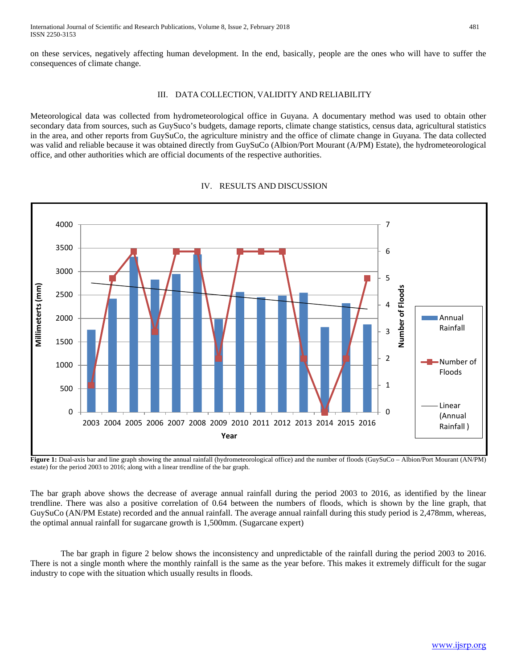on these services, negatively affecting human development. In the end, basically, people are the ones who will have to suffer the consequences of climate change.

# III. DATA COLLECTION, VALIDITY AND RELIABILITY

Meteorological data was collected from hydrometeorological office in Guyana. A documentary method was used to obtain other secondary data from sources, such as GuySuco's budgets, damage reports, climate change statistics, census data, agricultural statistics in the area, and other reports from GuySuCo, the agriculture ministry and the office of climate change in Guyana. The data collected was valid and reliable because it was obtained directly from GuySuCo (Albion/Port Mourant (A/PM) Estate), the hydrometeorological office, and other authorities which are official documents of the respective authorities.



# IV. RESULTS AND DISCUSSION

**Figure 1:** Dual-axis bar and line graph showing the annual rainfall (hydrometeorological office) and the number of floods (GuySuCo – Albion/Port Mourant (AN/PM) estate) for the period 2003 to 2016; along with a linear trendline of the bar graph.

The bar graph above shows the decrease of average annual rainfall during the period 2003 to 2016, as identified by the linear trendline. There was also a positive correlation of 0.64 between the numbers of floods, which is shown by the line graph, that GuySuCo (AN/PM Estate) recorded and the annual rainfall. The average annual rainfall during this study period is 2,478mm, whereas, the optimal annual rainfall for sugarcane growth is 1,500mm. (Sugarcane expert)

The bar graph in figure 2 below shows the inconsistency and unpredictable of the rainfall during the period 2003 to 2016. There is not a single month where the monthly rainfall is the same as the year before. This makes it extremely difficult for the sugar industry to cope with the situation which usually results in floods.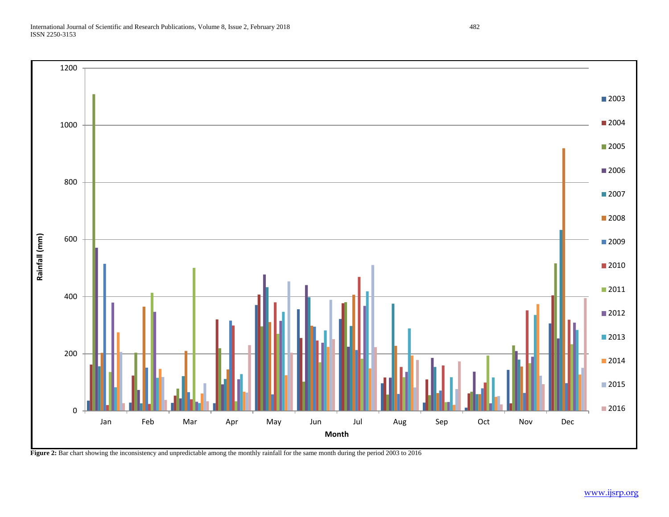

**Figure 2:** Bar chart showing the inconsistency and unpredictable among the monthly rainfall for the same month during the period 2003 to 2016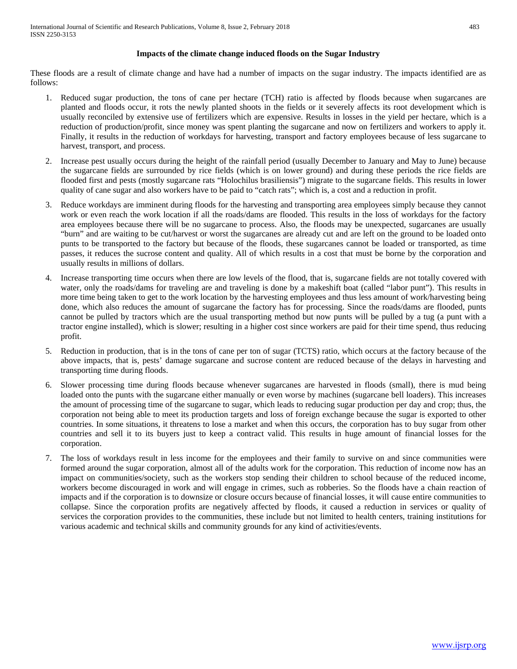# **Impacts of the climate change induced floods on the Sugar Industry**

These floods are a result of climate change and have had a number of impacts on the sugar industry. The impacts identified are as follows:

- 1. Reduced sugar production, the tons of cane per hectare (TCH) ratio is affected by floods because when sugarcanes are planted and floods occur, it rots the newly planted shoots in the fields or it severely affects its root development which is usually reconciled by extensive use of fertilizers which are expensive. Results in losses in the yield per hectare, which is a reduction of production/profit, since money was spent planting the sugarcane and now on fertilizers and workers to apply it. Finally, it results in the reduction of workdays for harvesting, transport and factory employees because of less sugarcane to harvest, transport, and process.
- 2. Increase pest usually occurs during the height of the rainfall period (usually December to January and May to June) because the sugarcane fields are surrounded by rice fields (which is on lower ground) and during these periods the rice fields are flooded first and pests (mostly sugarcane rats "Holochilus brasiliensis") migrate to the sugarcane fields. This results in lower quality of cane sugar and also workers have to be paid to "catch rats"; which is, a cost and a reduction in profit.
- 3. Reduce workdays are imminent during floods for the harvesting and transporting area employees simply because they cannot work or even reach the work location if all the roads/dams are flooded. This results in the loss of workdays for the factory area employees because there will be no sugarcane to process. Also, the floods may be unexpected, sugarcanes are usually "burn" and are waiting to be cut/harvest or worst the sugarcanes are already cut and are left on the ground to be loaded onto punts to be transported to the factory but because of the floods, these sugarcanes cannot be loaded or transported, as time passes, it reduces the sucrose content and quality. All of which results in a cost that must be borne by the corporation and usually results in millions of dollars.
- 4. Increase transporting time occurs when there are low levels of the flood, that is, sugarcane fields are not totally covered with water, only the roads/dams for traveling are and traveling is done by a makeshift boat (called "labor punt"). This results in more time being taken to get to the work location by the harvesting employees and thus less amount of work/harvesting being done, which also reduces the amount of sugarcane the factory has for processing. Since the roads/dams are flooded, punts cannot be pulled by tractors which are the usual transporting method but now punts will be pulled by a tug (a punt with a tractor engine installed), which is slower; resulting in a higher cost since workers are paid for their time spend, thus reducing profit.
- 5. Reduction in production, that is in the tons of cane per ton of sugar (TCTS) ratio, which occurs at the factory because of the above impacts, that is, pests' damage sugarcane and sucrose content are reduced because of the delays in harvesting and transporting time during floods.
- 6. Slower processing time during floods because whenever sugarcanes are harvested in floods (small), there is mud being loaded onto the punts with the sugarcane either manually or even worse by machines (sugarcane bell loaders). This increases the amount of processing time of the sugarcane to sugar, which leads to reducing sugar production per day and crop; thus, the corporation not being able to meet its production targets and loss of foreign exchange because the sugar is exported to other countries. In some situations, it threatens to lose a market and when this occurs, the corporation has to buy sugar from other countries and sell it to its buyers just to keep a contract valid. This results in huge amount of financial losses for the corporation.
- 7. The loss of workdays result in less income for the employees and their family to survive on and since communities were formed around the sugar corporation, almost all of the adults work for the corporation. This reduction of income now has an impact on communities/society, such as the workers stop sending their children to school because of the reduced income, workers become discouraged in work and will engage in crimes, such as robberies. So the floods have a chain reaction of impacts and if the corporation is to downsize or closure occurs because of financial losses, it will cause entire communities to collapse. Since the corporation profits are negatively affected by floods, it caused a reduction in services or quality of services the corporation provides to the communities, these include but not limited to health centers, training institutions for various academic and technical skills and community grounds for any kind of activities/events.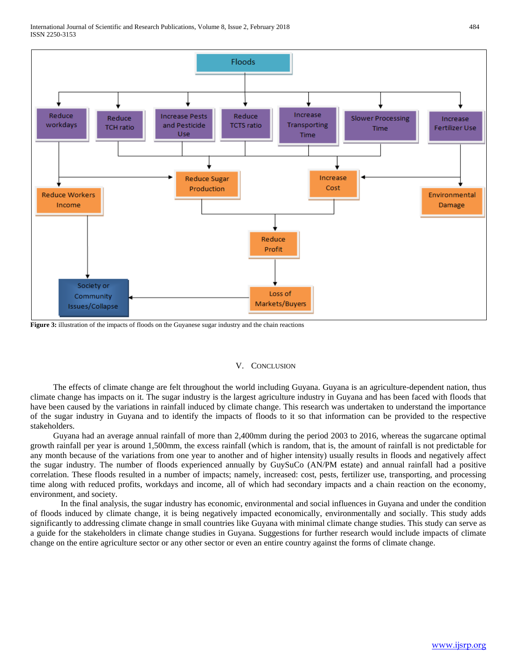

**Figure 3:** illustration of the impacts of floods on the Guyanese sugar industry and the chain reactions

#### V. CONCLUSION

The effects of climate change are felt throughout the world including Guyana. Guyana is an agriculture-dependent nation, thus climate change has impacts on it. The sugar industry is the largest agriculture industry in Guyana and has been faced with floods that have been caused by the variations in rainfall induced by climate change. This research was undertaken to understand the importance of the sugar industry in Guyana and to identify the impacts of floods to it so that information can be provided to the respective stakeholders.

Guyana had an average annual rainfall of more than 2,400mm during the period 2003 to 2016, whereas the sugarcane optimal growth rainfall per year is around 1,500mm, the excess rainfall (which is random, that is, the amount of rainfall is not predictable for any month because of the variations from one year to another and of higher intensity) usually results in floods and negatively affect the sugar industry. The number of floods experienced annually by GuySuCo (AN/PM estate) and annual rainfall had a positive correlation. These floods resulted in a number of impacts; namely, increased: cost, pests, fertilizer use, transporting, and processing time along with reduced profits, workdays and income, all of which had secondary impacts and a chain reaction on the economy, environment, and society.

In the final analysis, the sugar industry has economic, environmental and social influences in Guyana and under the condition of floods induced by climate change, it is being negatively impacted economically, environmentally and socially. This study adds significantly to addressing climate change in small countries like Guyana with minimal climate change studies. This study can serve as a guide for the stakeholders in climate change studies in Guyana. Suggestions for further research would include impacts of climate change on the entire agriculture sector or any other sector or even an entire country against the forms of climate change.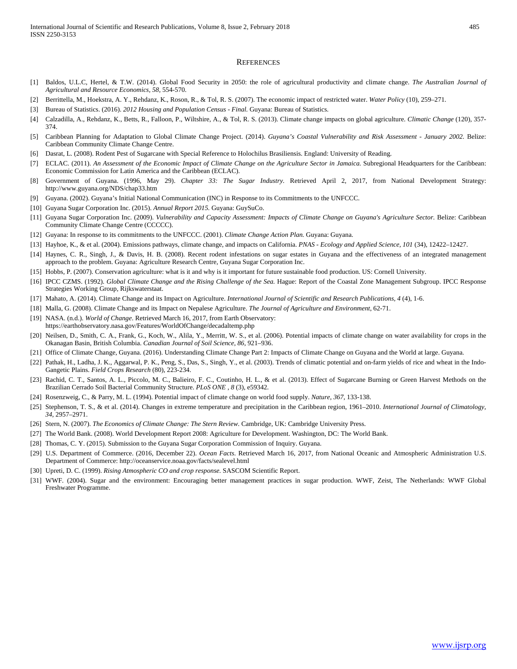#### **REFERENCES**

- [1] Baldos, U.L.C, Hertel, & T.W. (2014). Global Food Security in 2050: the role of agricultural productivity and climate change. *The Australian Journal of Agricultural and Resource Economics, 58*, 554-570.
- [2] Berrittella, M., Hoekstra, A. Y., Rehdanz, K., Roson, R., & Tol, R. S. (2007). The economic impact of restricted water. *Water Policy* (10), 259–271.
- [3] Bureau of Statistics. (2016). *2012 Housing and Population Census - Final.* Guyana: Bureau of Statistics.
- [4] Calzadilla, A., Rehdanz, K., Betts, R., Falloon, P., Wiltshire, A., & Tol, R. S. (2013). Climate change impacts on global agriculture. *Climatic Change* (120), 357- 374.
- [5] Caribbean Planning for Adaptation to Global Climate Change Project. (2014). *Guyana's Coastal Vulnerability and Risk Assessment - January 2002.* Belize: Caribbean Community Climate Change Centre.
- [6] Dasrat, L. (2008). Rodent Pest of Sugarcane with Special Reference to Holochilus Brasiliensis. England: University of Reading.
- [7] ECLAC. (2011). *An Assessment of the Economic Impact of Climate Change on the Agriculture Sector in Jamaica.* Subregional Headquarters for the Caribbean: Economic Commission for Latin America and the Caribbean (ECLAC).
- [8] Government of Guyana. (1996, May 29). *Chapter 33: The Sugar Industry*. Retrieved April 2, 2017, from National Development Strategy: http://www.guyana.org/NDS/chap33.htm
- [9] Guyana. (2002). Guyana's Initial National Communication (INC) in Response to its Commitments to the UNFCCC.
- [10] Guyana Sugar Corporation Inc. (2015). *Annual Report 2015.* Guyana: GuySuCo.
- [11] Guyana Sugar Corporation Inc. (2009). *Vulnerability and Capacity Assessment: Impacts of Climate Change on Guyana's Agriculture Sector.* Belize: Caribbean Community Climate Change Centre (CCCCC).
- [12] Guyana: In response to its commitments to the UNFCCC. (2001). *Climate Change Action Plan.* Guyana: Guyana.
- [13] Hayhoe, K., & et al. (2004). Emissions pathways, climate change, and impacts on California. *PNAS - Ecology and Applied Science, 101* (34), 12422–12427.
- [14] Haynes, C. R., Singh, J., & Davis, H. B. (2008). Recent rodent infestations on sugar estates in Guyana and the effectiveness of an integrated management approach to the problem. Guyana: Agriculture Research Centre, Guyana Sugar Corporation Inc.
- [15] Hobbs, P. (2007). Conservation agriculture: what is it and why is it important for future sustainable food production. US: Cornell University.
- [16] IPCC CZMS. (1992). *Global Climate Change and the Rising Challenge of the Sea.* Hague: Report of the Coastal Zone Management Subgroup. IPCC Response Strategies Working Group, Rijkswaterstaat.
- [17] Mahato, A. (2014). Climate Change and its Impact on Agriculture. *International Journal of Scientific and Research Publications, 4* (4), 1-6.
- [18] Malla, G. (2008). Climate Change and its Impact on Nepalese Agriculture. *The Journal of Agriculture and Environment*, 62-71.
- [19] NASA. (n.d.). *World of Change*. Retrieved March 16, 2017, from Earth Observatory: https://earthobservatory.nasa.gov/Features/WorldOfChange/decadaltemp.php
- [20] Neilsen, D., Smith, C. A., Frank, G., Koch, W., Alila, Y., Merritt, W. S., et al. (2006). Potential impacts of climate change on water availability for crops in the Okanagan Basin, British Columbia. *Canadian Journal of Soil Science, 86*, 921–936.
- [21] Office of Climate Change, Guyana. (2016). Understanding Climate Change Part 2: Impacts of Climate Change on Guyana and the World at large. Guyana.
- [22] Pathak, H., Ladha, J. K., Aggarwal, P. K., Peng, S., Das, S., Singh, Y., et al. (2003). Trends of climatic potential and on-farm yields of rice and wheat in the Indo-Gangetic Plains. *Field Crops Research* (80), 223-234.
- [23] Rachid, C. T., Santos, A. L., Piccolo, M. C., Balieiro, F. C., Coutinho, H. L., & et al. (2013). Effect of Sugarcane Burning or Green Harvest Methods on the Brazilian Cerrado Soil Bacterial Community Structure. *PLoS ONE , 8* (3), e59342.
- [24] Rosenzweig, C., & Parry, M. L. (1994). Potential impact of climate change on world food supply. *Nature, 367*, 133-138.
- [25] Stephenson, T. S., & et al. (2014). Changes in extreme temperature and precipitation in the Caribbean region, 1961–2010. *International Journal of Climatology, 34*, 2957–2971.
- [26] Stern, N. (2007). *The Economics of Climate Change: The Stern Review.* Cambridge, UK: Cambridge University Press.
- [27] The World Bank. (2008). World Development Report 2008: Agriculture for Development. Washington, DC: The World Bank.
- [28] Thomas, C. Y. (2015). Submission to the Guyana Sugar Corporation Commission of Inquiry. Guyana.
- [29] U.S. Department of Commerce. (2016, December 22). *Ocean Facts*. Retrieved March 16, 2017, from National Oceanic and Atmospheric Administration U.S. Department of Commerce: http://oceanservice.noaa.gov/facts/sealevel.html
- [30] Upreti, D. C. (1999). *Rising Atmospheric CO and crop response.* SASCOM Scientific Report.
- [31] WWF. (2004). Sugar and the environment: Encouraging better management practices in sugar production. WWF, Zeist, The Netherlands: WWF Global Freshwater Programme.